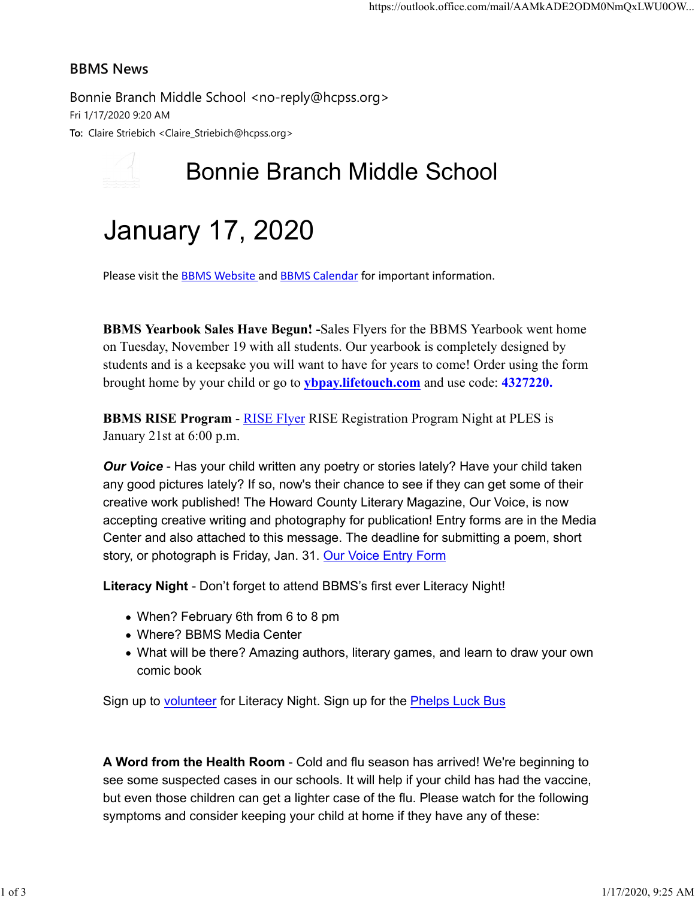## BBMS News

Bonnie Branch Middle School <no-reply@hcpss.org> Fri 1/17/2020 9:20 AM To: Claire Striebich <Claire\_Striebich@hcpss.org>

## Bonnie Branch Middle School

## January 17, 2020

Please visit the **BBMS Website** and **BBMS Calendar** for important information.

BBMS Yearbook Sales Have Begun! -Sales Flyers for the BBMS Yearbook went home on Tuesday, November 19 with all students. Our yearbook is completely designed by students and is a keepsake you will want to have for years to come! Order using the form brought home by your child or go to ybpay.lifetouch.com and use code: 4327220.

BBMS RISE Program - RISE Flyer RISE Registration Program Night at PLES is January 21st at 6:00 p.m.

Our Voice - Has your child written any poetry or stories lately? Have your child taken any good pictures lately? If so, now's their chance to see if they can get some of their creative work published! The Howard County Literary Magazine, Our Voice, is now accepting creative writing and photography for publication! Entry forms are in the Media Center and also attached to this message. The deadline for submitting a poem, short story, or photograph is Friday, Jan. 31. Our Voice Entry Form

Literacy Night - Don't forget to attend BBMS's first ever Literacy Night!

- When? February 6th from 6 to 8 pm
- Where? BBMS Media Center
- What will be there? Amazing authors, literary games, and learn to draw your own comic book

Sign up to volunteer for Literacy Night. Sign up for the **Phelps Luck Bus** 

A Word from the Health Room - Cold and flu season has arrived! We're beginning to see some suspected cases in our schools. It will help if your child has had the vaccine, but even those children can get a lighter case of the flu. Please watch for the following symptoms and consider keeping your child at home if they have any of these: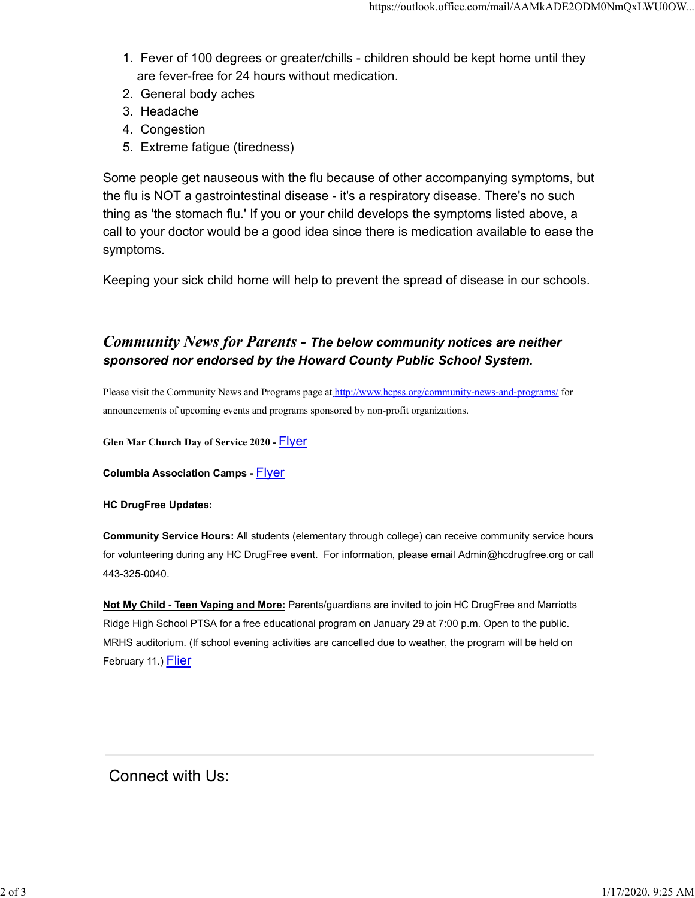- 1. Fever of 100 degrees or greater/chills children should be kept home until they are fever-free for 24 hours without medication.
- 2. General body aches
- 3. Headache
- 4. Congestion
- 5. Extreme fatigue (tiredness)

Some people get nauseous with the flu because of other accompanying symptoms, but the flu is NOT a gastrointestinal disease - it's a respiratory disease. There's no such thing as 'the stomach flu.' If you or your child develops the symptoms listed above, a call to your doctor would be a good idea since there is medication available to ease the symptoms.

Keeping your sick child home will help to prevent the spread of disease in our schools.

## Community News for Parents - The below community notices are neither sponsored nor endorsed by the Howard County Public School System.

Please visit the Community News and Programs page at http://www.hcpss.org/community-news-and-programs/ for announcements of upcoming events and programs sponsored by non-profit organizations.

Glen Mar Church Day of Service 2020 - Flyer

**Columbia Association Camps - Flyer** 

HC DrugFree Updates:

Community Service Hours: All students (elementary through college) can receive community service hours for volunteering during any HC DrugFree event. For information, please email Admin@hcdrugfree.org or call 443-325-0040.

Not My Child - Teen Vaping and More: Parents/guardians are invited to join HC DrugFree and Marriotts Ridge High School PTSA for a free educational program on January 29 at 7:00 p.m. Open to the public. MRHS auditorium. (If school evening activities are cancelled due to weather, the program will be held on February 11.) Flier

Connect with Us: